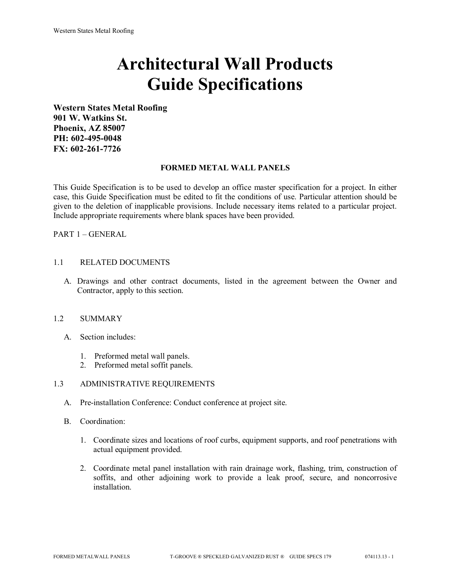# **Architectural Wall Products Guide Specifications**

**Western States Metal Roofing 901 W. Watkins St. Phoenix, AZ 85007 PH: 602-495-0048 FX: 602-261-7726**

#### **FORMED METAL WALL PANELS**

This Guide Specification is to be used to develop an office master specification for a project. In either case, this Guide Specification must be edited to fit the conditions of use. Particular attention should be given to the deletion of inapplicable provisions. Include necessary items related to a particular project. Include appropriate requirements where blank spaces have been provided.

PART 1 – GENERAL

# 1.1 RELATED DOCUMENTS

A. Drawings and other contract documents, listed in the agreement between the Owner and Contractor, apply to this section.

#### 1.2 SUMMARY

- A. Section includes:
	- 1. Preformed metal wall panels.
	- 2. Preformed metal soffit panels.

# 1.3 ADMINISTRATIVE REQUIREMENTS

- A. Pre-installation Conference: Conduct conference at project site.
- B. Coordination:
	- 1. Coordinate sizes and locations of roof curbs, equipment supports, and roof penetrations with actual equipment provided.
	- 2. Coordinate metal panel installation with rain drainage work, flashing, trim, construction of soffits, and other adjoining work to provide a leak proof, secure, and noncorrosive installation.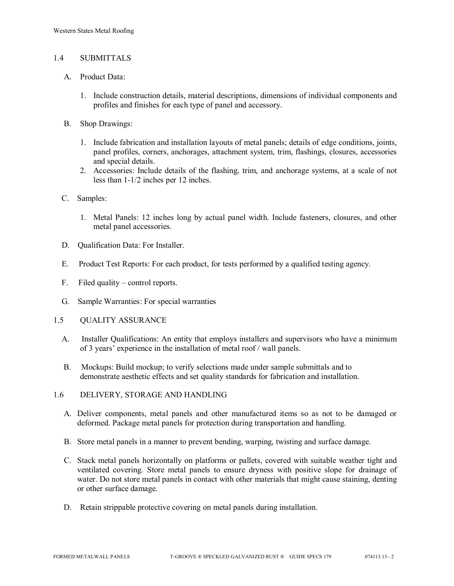## 1.4 SUBMITTALS

- A. Product Data:
	- 1. Include construction details, material descriptions, dimensions of individual components and profiles and finishes for each type of panel and accessory.
- B. Shop Drawings:
	- 1. Include fabrication and installation layouts of metal panels; details of edge conditions, joints, panel profiles, corners, anchorages, attachment system, trim, flashings, closures, accessories and special details.
	- 2. Accessories: Include details of the flashing, trim, and anchorage systems, at a scale of not less than 1-1/2 inches per 12 inches.
- C. Samples:
	- 1. Metal Panels: 12 inches long by actual panel width. Include fasteners, closures, and other metal panel accessories.
- D. Qualification Data: For Installer.
- E. Product Test Reports: For each product, for tests performed by a qualified testing agency.
- F. Filed quality control reports.
- G. Sample Warranties: For special warranties
- 1.5 QUALITY ASSURANCE
	- A. Installer Qualifications: An entity that employs installers and supervisors who have a minimum of 3 years' experience in the installation of metal roof / wall panels.
	- B. Mockups: Build mockup; to verify selections made under sample submittals and to demonstrate aesthetic effects and set quality standards for fabrication and installation.
- 1.6 DELIVERY, STORAGE AND HANDLING
	- A. Deliver components, metal panels and other manufactured items so as not to be damaged or deformed. Package metal panels for protection during transportation and handling.
	- B. Store metal panels in a manner to prevent bending, warping, twisting and surface damage.
	- C. Stack metal panels horizontally on platforms or pallets, covered with suitable weather tight and ventilated covering. Store metal panels to ensure dryness with positive slope for drainage of water. Do not store metal panels in contact with other materials that might cause staining, denting or other surface damage.
	- D. Retain strippable protective covering on metal panels during installation.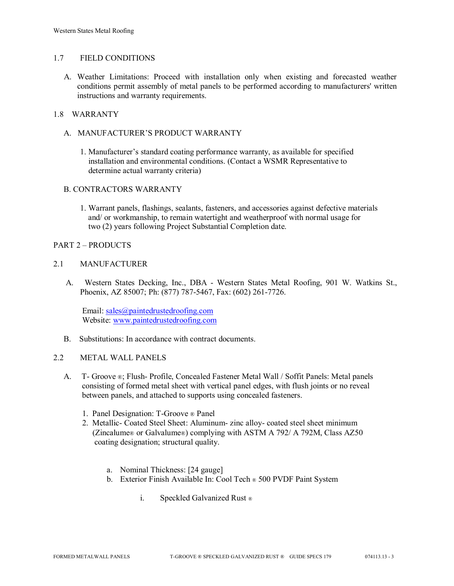#### 1.7 FIELD CONDITIONS

A. Weather Limitations: Proceed with installation only when existing and forecasted weather conditions permit assembly of metal panels to be performed according to manufacturers' written instructions and warranty requirements.

# 1.8 WARRANTY

- A. MANUFACTURER'S PRODUCT WARRANTY
	- 1. Manufacturer's standard coating performance warranty, as available for specified installation and environmental conditions. (Contact a WSMR Representative to determine actual warranty criteria)

#### B. CONTRACTORS WARRANTY

1. Warrant panels, flashings, sealants, fasteners, and accessories against defective materials and/ or workmanship, to remain watertight and weatherproof with normal usage for two (2) years following Project Substantial Completion date.

#### PART 2 – PRODUCTS

## 2.1 MANUFACTURER

 A. Western States Decking, Inc., DBA - Western States Metal Roofing, 901 W. Watkins St., Phoenix, AZ 85007; Ph: (877) 787-5467, Fax: (602) 261-7726.

Email: [sales@paintedrustedroofing.com](mailto:sales@paintedrustedroofing.com) Website: [www.paintedrustedroofing.com](http://www.paintedrustedroofing.com/)

B. Substitutions: In accordance with contract documents.

#### 2.2 METAL WALL PANELS

- A. T- Groove ®; Flush- Profile, Concealed Fastener Metal Wall / Soffit Panels: Metal panels consisting of formed metal sheet with vertical panel edges, with flush joints or no reveal between panels, and attached to supports using concealed fasteners.
	- 1. Panel Designation: T-Groove ® Panel
	- 2. Metallic- Coated Steel Sheet: Aluminum- zinc alloy- coated steel sheet minimum (Zincalume® or Galvalume®) complying with ASTM A 792/ A 792M, Class AZ50 coating designation; structural quality.
		- a. Nominal Thickness: [24 gauge]
		- b. Exterior Finish Available In: Cool Tech ® 500 PVDF Paint System
			- i. Speckled Galvanized Rust ®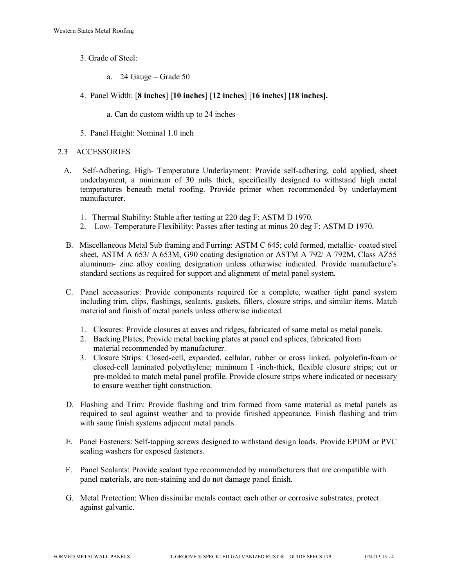- 3. Grade of Steel:
	- a. 24 Gauge Grade 50
- 4. Panel Width: [**8 inches**] [**10 inches**] [**12 inches**] [**16 inches**] **[18 inches].**
	- a. Can do custom width up to 24 inches
- 5. Panel Height: Nominal 1.0 inch

#### 2.3 ACCESSORIES

- A. Self-Adhering, High- Temperature Underlayment: Provide self-adhering, cold applied, sheet underlayment, a minimum of 30 mils thick, specifically designed to withstand high metal temperatures beneath metal roofing. Provide primer when recommended by underlayment manufacturer.
	- 1. Thermal Stability: Stable after testing at 220 deg F; ASTM D 1970.
	- 2. Low- Temperature Flexibility: Passes after testing at minus 20 deg F; ASTM D 1970.
- B. Miscellaneous Metal Sub framing and Furring: ASTM C 645; cold formed, metallic- coated steel sheet, ASTM A 653/ A 653M, G90 coating designation or ASTM A 792/ A 792M, Class AZ55 aluminum- zinc alloy coating designation unless otherwise indicated. Provide manufacture's standard sections as required for support and alignment of metal panel system.
- C. Panel accessories: Provide components required for a complete, weather tight panel system including trim, clips, flashings, sealants, gaskets, fillers, closure strips, and similar items. Match material and finish of metal panels unless otherwise indicated.
	- 1. Closures: Provide closures at eaves and ridges, fabricated of same metal as metal panels.
	- 2. Backing Plates; Provide metal backing plates at panel end splices, fabricated from material recommended by manufacturer.
	- 3. Closure Strips: Closed-cell, expanded, cellular, rubber or cross linked, polyolefin-foam or closed-cell laminated polyethylene; minimum I -inch-thick, flexible closure strips; cut or pre-molded to match metal panel profile. Provide closure strips where indicated or necessary to ensure weather tight construction.
- D. Flashing and Trim: Provide flashing and trim formed from same material as metal panels as required to seal against weather and to provide finished appearance. Finish flashing and trim with same finish systems adjacent metal panels.
- E. Panel Fasteners: Self-tapping screws designed to withstand design loads. Provide EPDM or PVC sealing washers for exposed fasteners.
- F. Panel Sealants: Provide sealant type recommended by manufacturers that are compatible with panel materials, are non-staining and do not damage panel finish.
- G. Metal Protection: When dissimilar metals contact each other or corrosive substrates, protect against galvanic.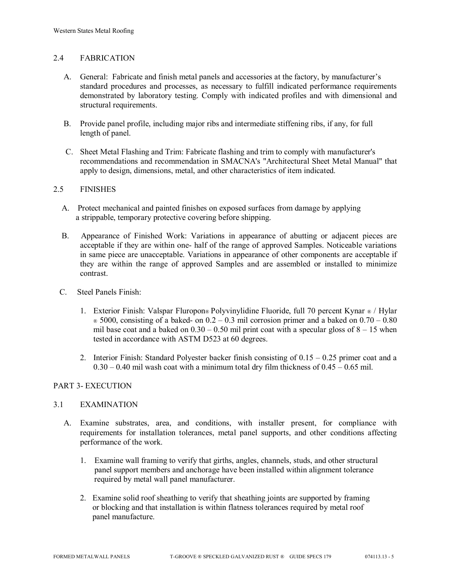# 2.4 FABRICATION

- A. General: Fabricate and finish metal panels and accessories at the factory, by manufacturer's standard procedures and processes, as necessary to fulfill indicated performance requirements demonstrated by laboratory testing. Comply with indicated profiles and with dimensional and structural requirements.
- B. Provide panel profile, including major ribs and intermediate stiffening ribs, if any, for full length of panel.
- C. Sheet Metal Flashing and Trim: Fabricate flashing and trim to comply with manufacturer's recommendations and recommendation in SMACNA's "Architectural Sheet Metal Manual" that apply to design, dimensions, metal, and other characteristics of item indicated.

#### 2.5 FINISHES

- A. Protect mechanical and painted finishes on exposed surfaces from damage by applying a strippable, temporary protective covering before shipping.
- B. Appearance of Finished Work: Variations in appearance of abutting or adjacent pieces are acceptable if they are within one- half of the range of approved Samples. Noticeable variations in same piece are unacceptable. Variations in appearance of other components are acceptable if they are within the range of approved Samples and are assembled or installed to minimize contrast.
- C. Steel Panels Finish:
	- 1. Exterior Finish: Valspar Fluropon® Polyvinylidine Fluoride, full 70 percent Kynar ® / Hylar  $\in$  5000, consisting of a baked- on 0.2 – 0.3 mil corrosion primer and a baked on 0.70 – 0.80 mil base coat and a baked on  $0.30 - 0.50$  mil print coat with a specular gloss of  $8 - 15$  when tested in accordance with ASTM D523 at 60 degrees.
	- 2. Interior Finish: Standard Polyester backer finish consisting of  $0.15 0.25$  primer coat and a  $0.30 - 0.40$  mil wash coat with a minimum total dry film thickness of  $0.45 - 0.65$  mil.

#### PART 3- EXECUTION

#### 3.1 EXAMINATION

- A. Examine substrates, area, and conditions, with installer present, for compliance with requirements for installation tolerances, metal panel supports, and other conditions affecting performance of the work.
	- 1. Examine wall framing to verify that girths, angles, channels, studs, and other structural panel support members and anchorage have been installed within alignment tolerance required by metal wall panel manufacturer.
	- 2. Examine solid roof sheathing to verify that sheathing joints are supported by framing or blocking and that installation is within flatness tolerances required by metal roof panel manufacture.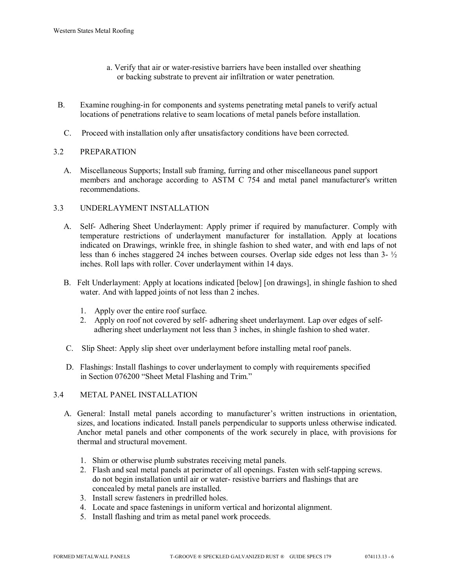- a. Verify that air or water-resistive barriers have been installed over sheathing or backing substrate to prevent air infiltration or water penetration.
- B. Examine roughing-in for components and systems penetrating metal panels to verify actual locations of penetrations relative to seam locations of metal panels before installation.
	- C. Proceed with installation only after unsatisfactory conditions have been corrected.

# 3.2 PREPARATION

 A. Miscellaneous Supports; Install sub framing, furring and other miscellaneous panel support members and anchorage according to ASTM C 754 and metal panel manufacturer's written recommendations.

#### 3.3 UNDERLAYMENT INSTALLATION

- A. Self- Adhering Sheet Underlayment: Apply primer if required by manufacturer. Comply with temperature restrictions of underlayment manufacturer for installation. Apply at locations indicated on Drawings, wrinkle free, in shingle fashion to shed water, and with end laps of not less than 6 inches staggered 24 inches between courses. Overlap side edges not less than 3- ½ inches. Roll laps with roller. Cover underlayment within 14 days.
- B. Felt Underlayment: Apply at locations indicated [below] [on drawings], in shingle fashion to shed water. And with lapped joints of not less than 2 inches.
	- 1. Apply over the entire roof surface.
	- 2. Apply on roof not covered by self- adhering sheet underlayment. Lap over edges of self adhering sheet underlayment not less than 3 inches, in shingle fashion to shed water.
- C. Slip Sheet: Apply slip sheet over underlayment before installing metal roof panels.
- D. Flashings: Install flashings to cover underlayment to comply with requirements specified in Section 076200 "Sheet Metal Flashing and Trim."

#### 3.4 METAL PANEL INSTALLATION

- A. General: Install metal panels according to manufacturer's written instructions in orientation, sizes, and locations indicated. Install panels perpendicular to supports unless otherwise indicated. Anchor metal panels and other components of the work securely in place, with provisions for thermal and structural movement.
	- 1. Shim or otherwise plumb substrates receiving metal panels.
	- 2. Flash and seal metal panels at perimeter of all openings. Fasten with self-tapping screws. do not begin installation until air or water- resistive barriers and flashings that are concealed by metal panels are installed.
	- 3. Install screw fasteners in predrilled holes.
	- 4. Locate and space fastenings in uniform vertical and horizontal alignment.
	- 5. Install flashing and trim as metal panel work proceeds.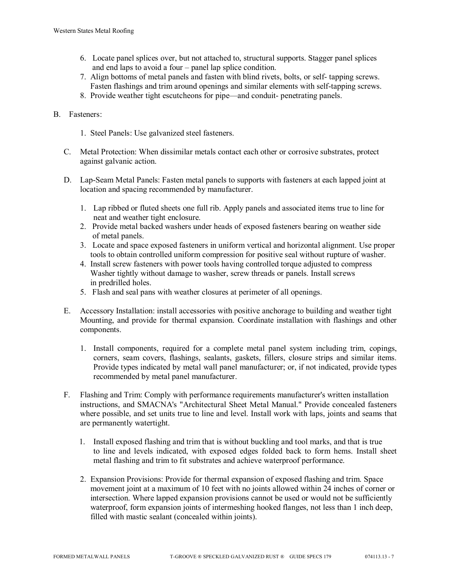- 6. Locate panel splices over, but not attached to, structural supports. Stagger panel splices and end laps to avoid a four – panel lap splice condition.
- 7. Align bottoms of metal panels and fasten with blind rivets, bolts, or self- tapping screws. Fasten flashings and trim around openings and similar elements with self-tapping screws.
- 8. Provide weather tight escutcheons for pipe—and conduit- penetrating panels.

# B. Fasteners:

- 1. Steel Panels: Use galvanized steel fasteners.
- C. Metal Protection: When dissimilar metals contact each other or corrosive substrates, protect against galvanic action.
- D. Lap-Seam Metal Panels: Fasten metal panels to supports with fasteners at each lapped joint at location and spacing recommended by manufacturer.
	- 1. Lap ribbed or fluted sheets one full rib. Apply panels and associated items true to line for neat and weather tight enclosure.
	- 2. Provide metal backed washers under heads of exposed fasteners bearing on weather side of metal panels.
	- 3. Locate and space exposed fasteners in uniform vertical and horizontal alignment. Use proper tools to obtain controlled uniform compression for positive seal without rupture of washer.
	- 4. Install screw fasteners with power tools having controlled torque adjusted to compress Washer tightly without damage to washer, screw threads or panels. Install screws in predrilled holes.
	- 5. Flash and seal pans with weather closures at perimeter of all openings.
- E. Accessory Installation: install accessories with positive anchorage to building and weather tight Mounting, and provide for thermal expansion. Coordinate installation with flashings and other components.
	- 1. Install components, required for a complete metal panel system including trim, copings, corners, seam covers, flashings, sealants, gaskets, fillers, closure strips and similar items. Provide types indicated by metal wall panel manufacturer; or, if not indicated, provide types recommended by metal panel manufacturer.
- F. Flashing and Trim: Comply with performance requirements manufacturer's written installation instructions, and SMACNA's "Architectural Sheet Metal Manual." Provide concealed fasteners where possible, and set units true to line and level. Install work with laps, joints and seams that are permanently watertight.
	- 1. Install exposed flashing and trim that is without buckling and tool marks, and that is true to line and levels indicated, with exposed edges folded back to form hems. Install sheet metal flashing and trim to fit substrates and achieve waterproof performance.
	- 2. Expansion Provisions: Provide for thermal expansion of exposed flashing and trim. Space movement joint at a maximum of 10 feet with no joints allowed within 24 inches of corner or intersection. Where lapped expansion provisions cannot be used or would not be sufficiently waterproof, form expansion joints of intermeshing hooked flanges, not less than 1 inch deep, filled with mastic sealant (concealed within joints).